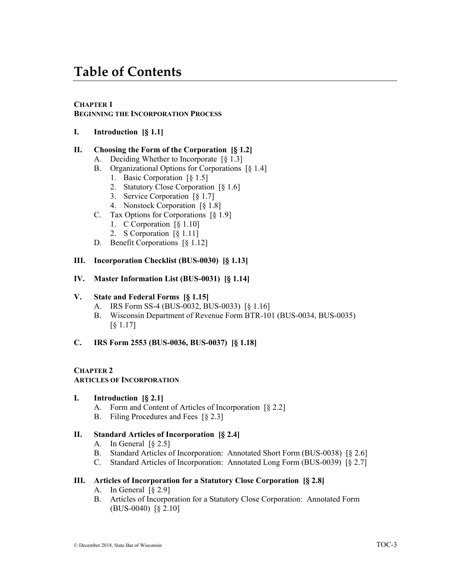# **Table of Contents**

### **CHAPTER 1**

### **BEGINNING THE INCORPORATION PROCESS**

**I. Introduction [§ 1.1]**

### **II. Choosing the Form of the Corporation [§ 1.2]**

- A. Deciding Whether to Incorporate [§ 1.3]
- B. Organizational Options for Corporations [§ 1.4]
	- 1. Basic Corporation [§ 1.5]
	- 2. Statutory Close Corporation [§ 1.6]
	- 3. Service Corporation [§ 1.7]
	- 4. Nonstock Corporation [§ 1.8]
- C. Tax Options for Corporations [§ 1.9]
	- 1. C Corporation [§ 1.10]
	- 2. S Corporation [§ 1.11]
- D. Benefit Corporations [§ 1.12]

#### **III. Incorporation Checklist (BUS-0030) [§ 1.13]**

#### **IV. Master Information List (BUS-0031) [§ 1.14]**

#### **V. State and Federal Forms [§ 1.15]**

- A. IRS Form SS-4 (BUS-0032, BUS-0033) [§ 1.16]
- B. Wisconsin Department of Revenue Form BTR-101 (BUS-0034, BUS-0035) [§ 1.17]

### **C. IRS Form 2553 (BUS-0036, BUS-0037) [§ 1.18]**

### **CHAPTER 2**

#### **ARTICLES OF INCORPORATION**

#### **I. Introduction [§ 2.1]**

- A. Form and Content of Articles of Incorporation [§ 2.2]
- B. Filing Procedures and Fees [§ 2.3]

### **II. Standard Articles of Incorporation [§ 2.4]**

- A. In General  $\lceil \S 2.5 \rceil$
- B. Standard Articles of Incorporation: Annotated Short Form (BUS-0038) [§ 2.6]
- C. Standard Articles of Incorporation: Annotated Long Form (BUS-0039) [§ 2.7]

#### **III. Articles of Incorporation for a Statutory Close Corporation [§ 2.8]**

- A. In General [§ 2.9]
- B. Articles of Incorporation for a Statutory Close Corporation: Annotated Form (BUS-0040) [§ 2.10]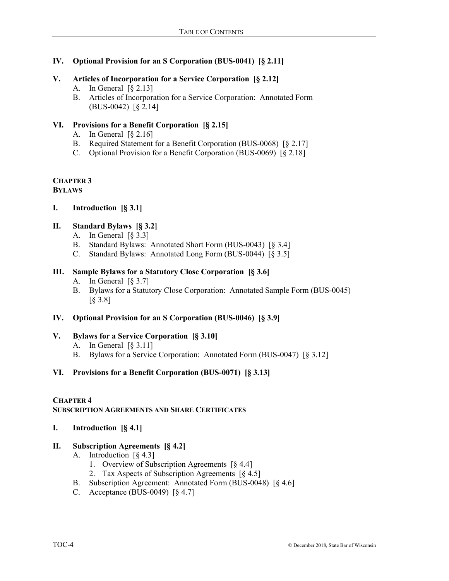### **IV. Optional Provision for an S Corporation (BUS-0041) [§ 2.11]**

### **V. Articles of Incorporation for a Service Corporation [§ 2.12]**

- A. In General [§ 2.13]
- B. Articles of Incorporation for a Service Corporation: Annotated Form (BUS-0042) [§ 2.14]

# **VI. Provisions for a Benefit Corporation [§ 2.15]**

- A. In General  $\lceil \S 2.16 \rceil$
- B. Required Statement for a Benefit Corporation (BUS-0068) [§ 2.17]
- C. Optional Provision for a Benefit Corporation (BUS-0069) [§ 2.18]

# **CHAPTER 3**

### **BYLAWS**

**I. Introduction [§ 3.1]**

# **II. Standard Bylaws [§ 3.2]**

- A. In General [§ 3.3]
- B. Standard Bylaws: Annotated Short Form (BUS-0043) [§ 3.4]
- C. Standard Bylaws: Annotated Long Form (BUS-0044) [§ 3.5]

### **III. Sample Bylaws for a Statutory Close Corporation [§ 3.6]**

- A. In General  $\lceil \S 3.7 \rceil$
- B. Bylaws for a Statutory Close Corporation: Annotated Sample Form (BUS-0045) [§ 3.8]

# **IV. Optional Provision for an S Corporation (BUS-0046) [§ 3.9]**

# **V. Bylaws for a Service Corporation [§ 3.10]**

- A. In General  $\lceil \S 3.11 \rceil$
- B. Bylaws for a Service Corporation: Annotated Form (BUS-0047) [§ 3.12]

# **VI. Provisions for a Benefit Corporation (BUS-0071) [§ 3.13]**

### **CHAPTER 4**

# **SUBSCRIPTION AGREEMENTS AND SHARE CERTIFICATES**

**I. Introduction [§ 4.1]**

# **II. Subscription Agreements [§ 4.2]**

- A. Introduction [§ 4.3]
	- 1. Overview of Subscription Agreements [§ 4.4]
	- 2. Tax Aspects of Subscription Agreements [§ 4.5]
- B. Subscription Agreement: Annotated Form (BUS-0048) [§ 4.6]
- C. Acceptance (BUS-0049) [§ 4.7]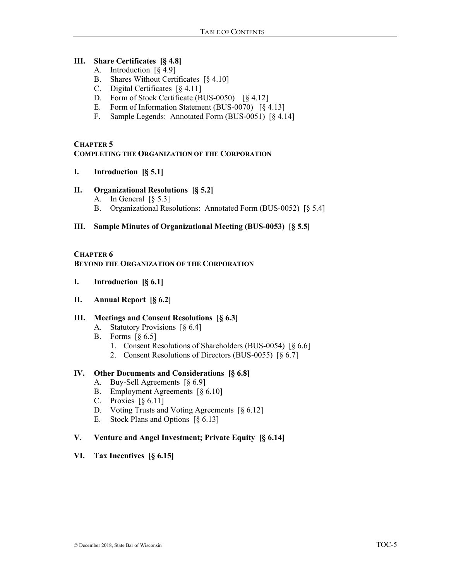### **III. Share Certificates [§ 4.8]**

- A. Introduction [§ 4.9]
- B. Shares Without Certificates [§ 4.10]
- C. Digital Certificates [§ 4.11]
- D. Form of Stock Certificate (BUS-0050) [§ 4.12]
- E. Form of Information Statement (BUS-0070) [§ 4.13]
- F. Sample Legends: Annotated Form (BUS-0051) [§ 4.14]

### **CHAPTER 5**

### **COMPLETING THE ORGANIZATION OF THE CORPORATION**

**I. Introduction [§ 5.1]**

### **II. Organizational Resolutions [§ 5.2]**

- A. In General [§ 5.3]
- B. Organizational Resolutions: Annotated Form (BUS-0052) [§ 5.4]

### **III. Sample Minutes of Organizational Meeting (BUS-0053) [§ 5.5]**

### **CHAPTER 6 BEYOND THE ORGANIZATION OF THE CORPORATION**

- **I. Introduction [§ 6.1]**
- **II. Annual Report [§ 6.2]**

### **III. Meetings and Consent Resolutions [§ 6.3]**

- A. Statutory Provisions [§ 6.4]
- B. Forms [§ 6.5]
	- 1. Consent Resolutions of Shareholders (BUS-0054) [§ 6.6]
	- 2. Consent Resolutions of Directors (BUS-0055) [§ 6.7]

### **IV. Other Documents and Considerations [§ 6.8]**

- A. Buy-Sell Agreements [§ 6.9]
- B. Employment Agreements [§ 6.10]
- C. Proxies [§ 6.11]
- D. Voting Trusts and Voting Agreements [§ 6.12]
- E. Stock Plans and Options [§ 6.13]

### **V. Venture and Angel Investment; Private Equity [§ 6.14]**

### **VI. Tax Incentives [§ 6.15]**